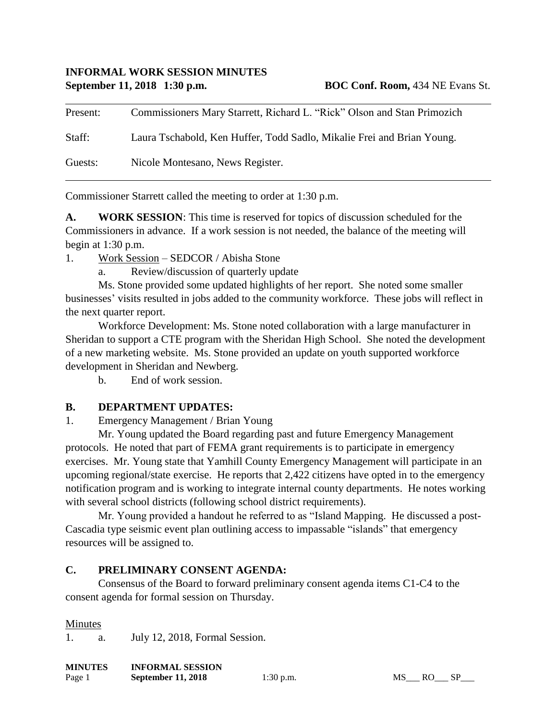Present: Commissioners Mary Starrett, Richard L. "Rick" Olson and Stan Primozich Staff: Laura Tschabold, Ken Huffer, Todd Sadlo, Mikalie Frei and Brian Young. Guests: Nicole Montesano, News Register.

Commissioner Starrett called the meeting to order at 1:30 p.m.

**A. WORK SESSION**: This time is reserved for topics of discussion scheduled for the Commissioners in advance. If a work session is not needed, the balance of the meeting will begin at 1:30 p.m.

1. Work Session – SEDCOR / Abisha Stone

a. Review/discussion of quarterly update

Ms. Stone provided some updated highlights of her report. She noted some smaller businesses' visits resulted in jobs added to the community workforce. These jobs will reflect in the next quarter report.

Workforce Development: Ms. Stone noted collaboration with a large manufacturer in Sheridan to support a CTE program with the Sheridan High School. She noted the development of a new marketing website. Ms. Stone provided an update on youth supported workforce development in Sheridan and Newberg.

b. End of work session.

### **B. DEPARTMENT UPDATES:**

1. Emergency Management / Brian Young

Mr. Young updated the Board regarding past and future Emergency Management protocols. He noted that part of FEMA grant requirements is to participate in emergency exercises. Mr. Young state that Yamhill County Emergency Management will participate in an upcoming regional/state exercise. He reports that 2,422 citizens have opted in to the emergency notification program and is working to integrate internal county departments. He notes working with several school districts (following school district requirements).

Mr. Young provided a handout he referred to as "Island Mapping. He discussed a post-Cascadia type seismic event plan outlining access to impassable "islands" that emergency resources will be assigned to.

### **C. PRELIMINARY CONSENT AGENDA:**

Consensus of the Board to forward preliminary consent agenda items C1-C4 to the consent agenda for formal session on Thursday.

#### Minutes

1. a. July 12, 2018, Formal Session.